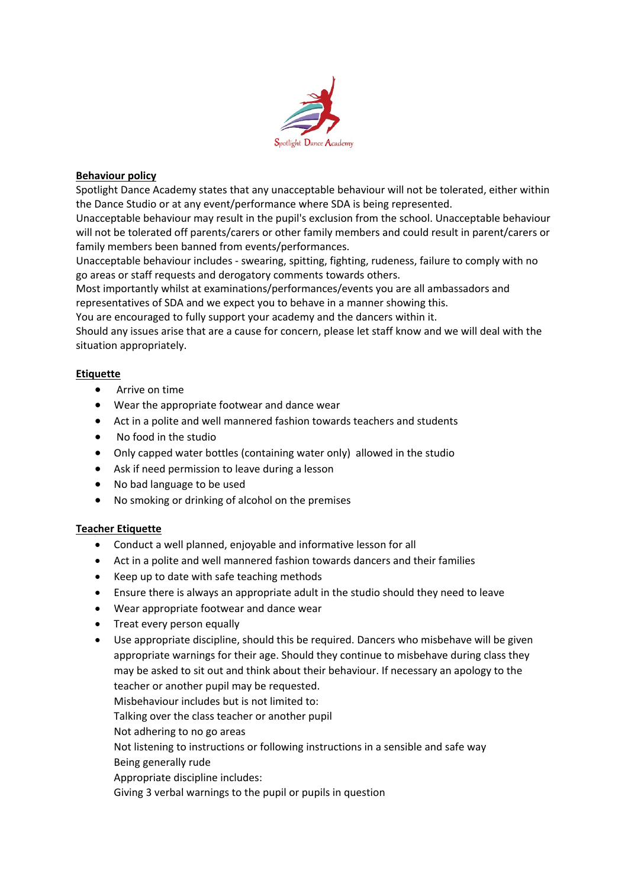

## **Behaviour policy**

Spotlight Dance Academy states that any unacceptable behaviour will not be tolerated, either within the Dance Studio or at any event/performance where SDA is being represented.

Unacceptable behaviour may result in the pupil's exclusion from the school. Unacceptable behaviour will not be tolerated off parents/carers or other family members and could result in parent/carers or family members been banned from events/performances.

Unacceptable behaviour includes - swearing, spitting, fighting, rudeness, failure to comply with no go areas or staff requests and derogatory comments towards others.

Most importantly whilst at examinations/performances/events you are all ambassadors and representatives of SDA and we expect you to behave in a manner showing this.

You are encouraged to fully support your academy and the dancers within it.

Should any issues arise that are a cause for concern, please let staff know and we will deal with the situation appropriately.

## **Etiquette**

- Arrive on time
- Wear the appropriate footwear and dance wear
- Act in a polite and well mannered fashion towards teachers and students
- No food in the studio
- Only capped water bottles (containing water only) allowed in the studio
- Ask if need permission to leave during a lesson
- No bad language to be used
- No smoking or drinking of alcohol on the premises

## **Teacher Etiquette**

- Conduct a well planned, enjoyable and informative lesson for all
- Act in a polite and well mannered fashion towards dancers and their families
- Keep up to date with safe teaching methods
- Ensure there is always an appropriate adult in the studio should they need to leave
- Wear appropriate footwear and dance wear
- Treat every person equally
- Use appropriate discipline, should this be required. Dancers who misbehave will be given appropriate warnings for their age. Should they continue to misbehave during class they may be asked to sit out and think about their behaviour. If necessary an apology to the teacher or another pupil may be requested.

Misbehaviour includes but is not limited to:

Talking over the class teacher or another pupil

Not adhering to no go areas

Not listening to instructions or following instructions in a sensible and safe way Being generally rude

Appropriate discipline includes:

Giving 3 verbal warnings to the pupil or pupils in question